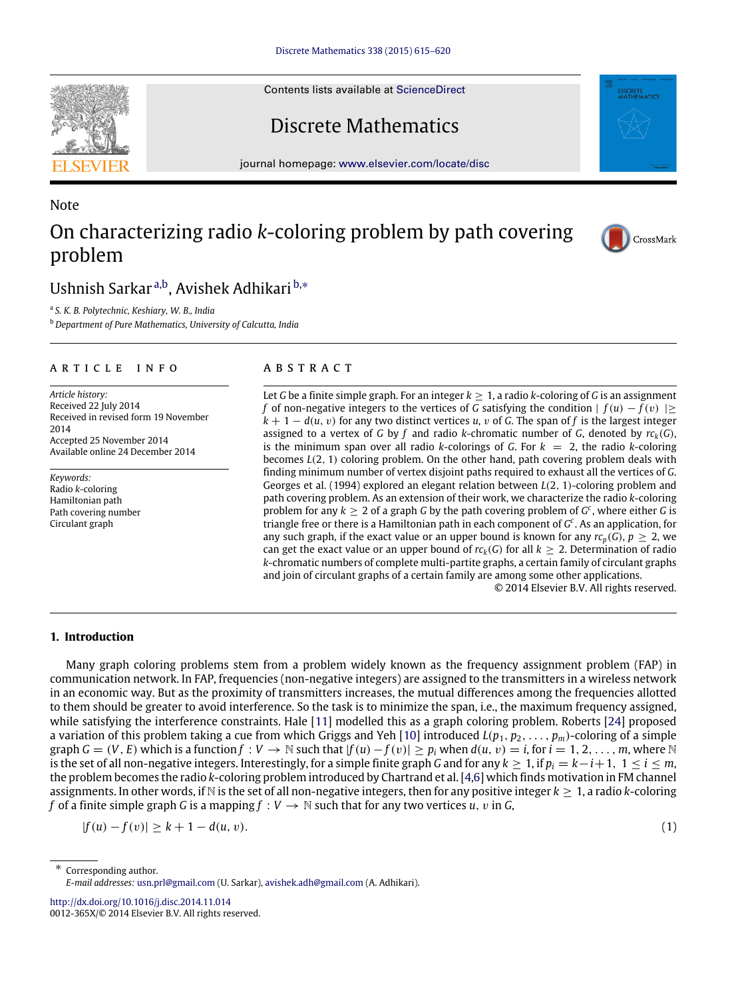Contents lists available at [ScienceDirect](http://www.elsevier.com/locate/disc)

# Discrete Mathematics

journal homepage: [www.elsevier.com/locate/disc](http://www.elsevier.com/locate/disc)

# Note On characterizing radio *k*-coloring problem by path covering problem

# Ushnish Sarkar<sup>[a,](#page-0-0)[b](#page-0-1)</sup>, Avishek Adhikari <sup>[b,](#page-0-1)[∗](#page-0-2)</sup>

<span id="page-0-0"></span>a *S. K. B. Polytechnic, Keshiary, W. B., India*

<span id="page-0-1"></span><sup>b</sup> *Department of Pure Mathematics, University of Calcutta, India*

# a r t i c l e i n f o

*Article history:* Received 22 July 2014 Received in revised form 19 November 2014 Accepted 25 November 2014 Available online 24 December 2014

*Keywords:* Radio *k*-coloring Hamiltonian path Path covering number Circulant graph

# A B S T R A C T

Let *G* be a finite simple graph. For an integer  $k \geq 1$ , a radio *k*-coloring of *G* is an assignment *f* of non-negative integers to the vertices of *G* satisfying the condition  $| f(u) - f(v) | \ge$  $k + 1 - d(u, v)$  for any two distinct vertices *u*, *v* of *G*. The span of *f* is the largest integer assigned to a vertex of *G* by *f* and radio *k*-chromatic number of *G*, denoted by  $rc_k(G)$ , is the minimum span over all radio *k*-colorings of *G*. For  $k = 2$ , the radio *k*-coloring becomes *L*(2, 1) coloring problem. On the other hand, path covering problem deals with finding minimum number of vertex disjoint paths required to exhaust all the vertices of *G*. Georges et al. (1994) explored an elegant relation between *L*(2, 1)-coloring problem and path covering problem. As an extension of their work, we characterize the radio *k*-coloring problem for any  $k \geq 2$  of a graph *G* by the path covering problem of  $G^c$ , where either *G* is triangle free or there is a Hamiltonian path in each component of *G c* . As an application, for any such graph, if the exact value or an upper bound is known for any  $rc_p(G)$ ,  $p > 2$ , we can get the exact value or an upper bound of  $r c_k(G)$  for all  $k \geq 2$ . Determination of radio *k*-chromatic numbers of complete multi-partite graphs, a certain family of circulant graphs and join of circulant graphs of a certain family are among some other applications.

© 2014 Elsevier B.V. All rights reserved.

# **1. Introduction**

Many graph coloring problems stem from a problem widely known as the frequency assignment problem (FAP) in communication network. In FAP, frequencies (non-negative integers) are assigned to the transmitters in a wireless network in an economic way. But as the proximity of transmitters increases, the mutual differences among the frequencies allotted to them should be greater to avoid interference. So the task is to minimize the span, i.e., the maximum frequency assigned, while satisfying the interference constraints. Hale [\[11\]](#page-5-0) modelled this as a graph coloring problem. Roberts [\[24\]](#page-5-1) proposed a variation of this problem taking a cue from which Griggs and Yeh [\[10\]](#page-5-2) introduced  $L(p_1, p_2, \ldots, p_m)$ -coloring of a simple graph  $G = (V, E)$  which is a function  $f: V \to \mathbb{N}$  such that  $|f(u) - f(v)| \ge p_i$  when  $d(u, v) = i$ , for  $i = 1, 2, ..., m$ , where  $\mathbb{N}$ is the set of all non-negative integers. Interestingly, for a simple finite graph *G* and for any *k* ≥ 1, if *p<sup>i</sup>* = *k*−*i*+1, 1 ≤ *i* ≤ *m*, the problem becomes the radio *k*-coloring problem introduced by Chartrand et al. [\[4,](#page-5-3)[6\]](#page-5-4) which finds motivation in FM channel assignments. In other words, if N is the set of all non-negative integers, then for any positive integer  $k \geq 1$ , a radio *k*-coloring *f* of a finite simple graph *G* is a mapping  $f : V \to \mathbb{N}$  such that for any two vertices *u*, *v* in *G*,

 $|f(u) - f(v)| > k + 1 - d(u, v).$  (1)

<http://dx.doi.org/10.1016/j.disc.2014.11.014> 0012-365X/© 2014 Elsevier B.V. All rights reserved.









<span id="page-0-2"></span><sup>∗</sup> Corresponding author. *E-mail addresses:* [usn.prl@gmail.com](mailto:usn.prl@gmail.com) (U. Sarkar), [avishek.adh@gmail.com](mailto:avishek.adh@gmail.com) (A. Adhikari).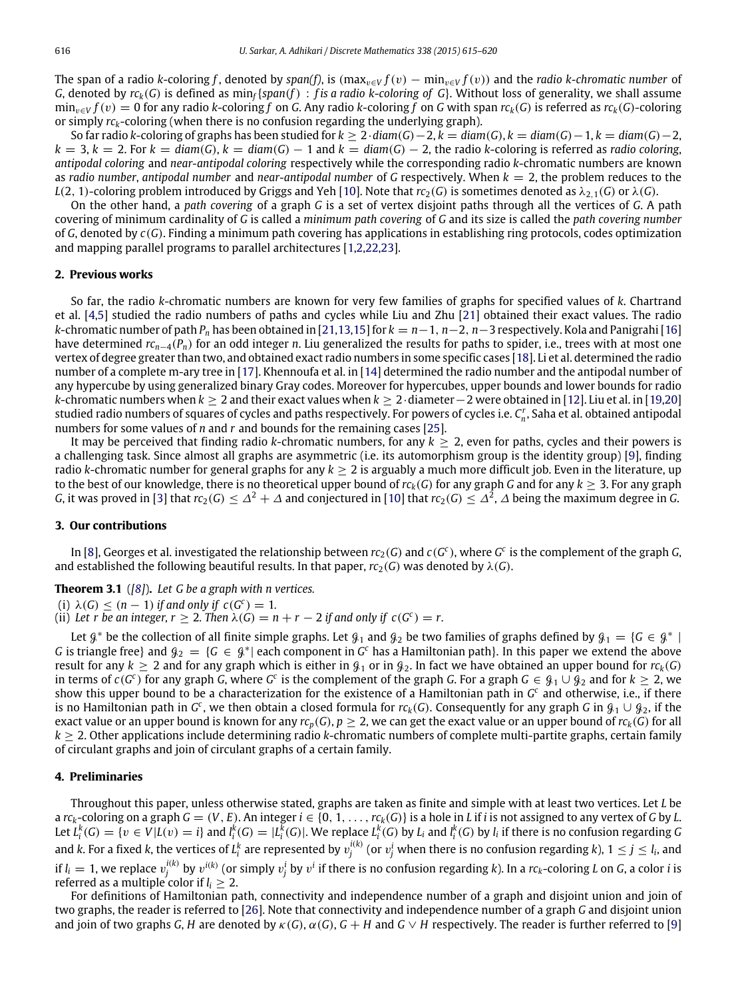The span of a radio *k*-coloring *f*, denoted by span(*f*), is (max<sub>v∈</sub> $V$  *f*(*v*) – min<sub>v∈</sub> $V$  *f*(*v*)) and the *radio k*-chromatic number of *G*, denoted by  $rc_k(G)$  is defined as min<sub>f</sub> { $span(f)$  : *f* is a radio k-coloring of G}. Without loss of generality, we shall assume  $\min_{v \in V} f(v) = 0$  for any radio *k*-coloring *f* on *G*. Any radio *k*-coloring *f* on *G* with span  $r c_k(G)$  is referred as  $r c_k(G)$ -coloring or simply  $rc_k$ -coloring (when there is no confusion regarding the underlying graph).

So far radio *k*-coloring of graphs has been studied for  $k > 2 \cdot diam(G) - 2$ ,  $k = diam(G)$ ,  $k = diam(G) - 1$ ,  $k = diam(G) - 2$ ,  $k = 3, k = 2$ . For  $k = \text{diam}(G)$ ,  $k = \text{diam}(G) - 1$  and  $k = \text{diam}(G) - 2$ , the radio *k*-coloring is referred as *radio coloring*, *antipodal coloring* and *near-antipodal coloring* respectively while the corresponding radio *k*-chromatic numbers are known as *radio number*, *antipodal number* and *near-antipodal number* of *G* respectively. When *k* = 2, the problem reduces to the *L*(2, 1)-coloring problem introduced by Griggs and Yeh [\[10\]](#page-5-2). Note that  $rc_2(G)$  is sometimes denoted as  $\lambda_{2,1}(G)$  or  $\lambda(G)$ .

On the other hand, a *path covering* of a graph *G* is a set of vertex disjoint paths through all the vertices of *G*. A path covering of minimum cardinality of *G* is called a *minimum path covering* of *G* and its size is called the *path covering number* of *G*, denoted by *c*(*G*). Finding a minimum path covering has applications in establishing ring protocols, codes optimization and mapping parallel programs to parallel architectures [\[1](#page-5-5)[,2](#page-5-6)[,22,](#page-5-7)[23\]](#page-5-8).

#### **2. Previous works**

So far, the radio *k*-chromatic numbers are known for very few families of graphs for specified values of *k*. Chartrand et al. [\[4,](#page-5-3)[5\]](#page-5-9) studied the radio numbers of paths and cycles while Liu and Zhu [\[21\]](#page-5-10) obtained their exact values. The radio *k*-chromatic number of path *P<sup>n</sup>* has been obtained in [\[21](#page-5-10)[,13,](#page-5-11)[15\]](#page-5-12) for *k* = *n*−1, *n*−2, *n*−3 respectively. Kola and Panigrahi [\[16\]](#page-5-13) have determined *rcn*−4(*Pn*) for an odd integer *n*. Liu generalized the results for paths to spider, i.e., trees with at most one vertex of degree greater than two, and obtained exact radio numbers in some specific cases [\[18\]](#page-5-14). Li et al. determined the radio number of a complete m-ary tree in [\[17\]](#page-5-15). Khennoufa et al. in [\[14\]](#page-5-16) determined the radio number and the antipodal number of any hypercube by using generalized binary Gray codes. Moreover for hypercubes, upper bounds and lower bounds for radio *k*-chromatic numbers when *k* ≥ 2 and their exact values when *k* ≥ 2·diameter−2 were obtained in [\[12\]](#page-5-17). Liu et al. in [\[19,](#page-5-18)[20\]](#page-5-19) studied radio numbers of squares of cycles and paths respectively. For powers of cycles i.e. *C r n* , Saha et al. obtained antipodal numbers for some values of *n* and *r* and bounds for the remaining cases [\[25\]](#page-5-20).

It may be perceived that finding radio *k*-chromatic numbers, for any  $k \geq 2$ , even for paths, cycles and their powers is a challenging task. Since almost all graphs are asymmetric (i.e. its automorphism group is the identity group) [\[9\]](#page-5-21), finding radio *k*-chromatic number for general graphs for any  $k \ge 2$  is arguably a much more difficult job. Even in the literature, up to the best of our knowledge, there is no theoretical upper bound of  $r c_k(G)$  for any graph *G* and for any  $k \geq 3$ . For any graph *G*, it was proved in [\[3\]](#page-5-22) that  $rc_2(G) \leq \Delta^2 + \Delta$  and conjectured in [\[10\]](#page-5-2) that  $rc_2(G) \leq \Delta^2$ ,  $\Delta$  being the maximum degree in *G*.

#### **3. Our contributions**

In [\[8\]](#page-5-23), Georges et al. investigated the relationship between  $rc_2(G)$  and  $c(G^c)$ , where  $G^c$  is the complement of the graph  $G$ , and established the following beautiful results. In that paper,  $rc_2(G)$  was denoted by  $\lambda(G)$ .

**Theorem 3.1** (*[\[8\]](#page-5-23)*)**.** *Let G be a graph with n vertices.*

(i)  $\lambda(G) \leq (n-1)$  *if and only if*  $c(G^c) = 1$ *.* 

(ii) Let r be an integer,  $r \geq 2$ . Then  $\lambda(G) = n + r - 2$  if and only if  $c(G^c) = r$ .

Let  $\beta^*$  be the collection of all finite simple graphs. Let  $\beta_1$  and  $\beta_2$  be two families of graphs defined by  $\beta_1 = \{G \in \beta^* | G \}$ *G* is triangle free} and  $g_2 = \{G \in \mathcal{G}^* |$  each component in  $G^c$  has a Hamiltonian path}. In this paper we extend the above result for any  $k \ge 2$  and for any graph which is either in  $\mathcal{G}_1$  or in  $\mathcal{G}_2$ . In fact we have obtained an upper bound for  $r c_k(G)$ in terms of  $c(G^c)$  for any graph *G*, where  $G^c$  is the complement of the graph *G*. For a graph  $G \in \mathcal{G}_1 \cup \mathcal{G}_2$  and for  $k \geq 2$ , we show this upper bound to be a characterization for the existence of a Hamiltonian path in *G<sup>c</sup>* and otherwise, i.e., if there is no Hamiltonian path in  $G^c$ , we then obtain a closed formula for  $rc_k(G)$ . Consequently for any graph  $G$  in  $\mathcal{G}_1\cup\mathcal{G}_2$ , if the exact value or an upper bound is known for any  $rc_p(G)$ ,  $p > 2$ , we can get the exact value or an upper bound of  $rc_k(G)$  for all *k* ≥ 2. Other applications include determining radio *k*-chromatic numbers of complete multi-partite graphs, certain family of circulant graphs and join of circulant graphs of a certain family.

# **4. Preliminaries**

Throughout this paper, unless otherwise stated, graphs are taken as finite and simple with at least two vertices. Let *L* be a  $rc_k$ -coloring on a graph  $G = (V, E)$ . An integer  $i \in \{0, 1, ..., rc_k(G)\}$  is a hole in L if i is not assigned to any vertex of G by L. Let  $L_i^k(G) = \{v \in V | L(v) = i\}$  and  $l_i^k(G) = | L_i^k(G)|$ . We replace  $L_i^k(G)$  by  $L_i$  and  $l_i^k(G)$  by  $l_i$  if there is no confusion regarding G and k. For a fixed k, the vertices of  $L_i^k$  are represented by  $v_j^{i(k)}$  (or  $v_j^i$  when there is no confusion regarding k),  $1\leq j\leq l_i$ , and if  $l_i=1$ , we replace  $v_j^{i(k)}$  by  $v^{i(k)}$  (or simply  $v_j^i$  by  $v^i$  if there is no confusion regarding k). In a  $rc_k$ -coloring L on G, a color i is referred as a multiple color if *l<sup>i</sup>* ≥ 2.

For definitions of Hamiltonian path, connectivity and independence number of a graph and disjoint union and join of two graphs, the reader is referred to [\[26\]](#page-5-24). Note that connectivity and independence number of a graph *G* and disjoint union and join of two graphs *G*, *H* are denoted by  $\kappa$  (*G*),  $\alpha$  (*G*), *G* + *H* and *G*  $\vee$  *H* respectively. The reader is further referred to [\[9\]](#page-5-21)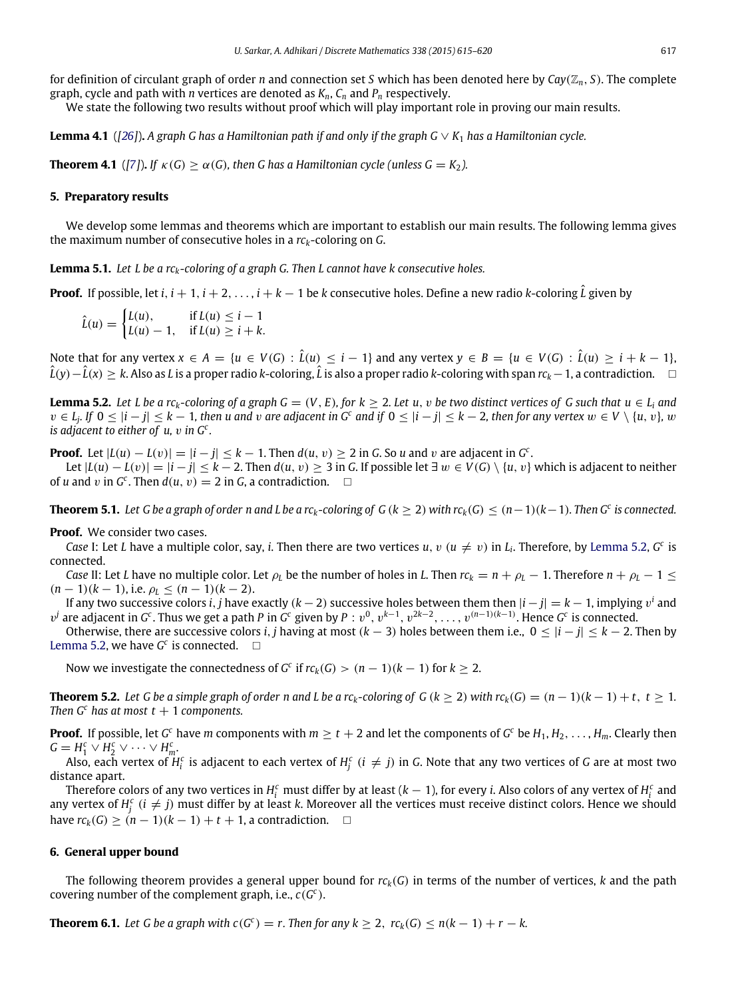for definition of circulant graph of order *n* and connection set *S* which has been denoted here by *Cay*(Z*n*, *S*). The complete graph, cycle and path with *n* vertices are denoted as *Kn*, *C<sup>n</sup>* and *P<sup>n</sup>* respectively.

<span id="page-2-4"></span>We state the following two results without proof which will play important role in proving our main results.

**Lemma 4.1** ( $[26]$ ). A graph G has a Hamiltonian path if and only if the graph G  $\vee$  K<sub>1</sub> has a Hamiltonian cycle.

<span id="page-2-3"></span>**Theorem 4.1** (*[\[7\]](#page-5-25)*). *If*  $\kappa(G) > \alpha(G)$ , then G has a Hamiltonian cycle (unless  $G = K_2$ ).

### **5. Preparatory results**

We develop some lemmas and theorems which are important to establish our main results. The following lemma gives the maximum number of consecutive holes in a *rck*-coloring on *G*.

**Lemma 5.1.** *Let L be a rck-coloring of a graph G. Then L cannot have k consecutive holes.*

**Proof.** If possible, let *i*, *i* + 1, *i* + 2, . . . , *i* + *k* − 1 be *k* consecutive holes. Define a new radio *k*-coloring  $\hat{L}$  given by

 $\hat{L}(u) = \begin{cases} L(u), & \text{if } L(u) \leq i - 1 \\ L(u) - 1 & \text{if } L(u) > i + k \end{cases}$ *L*(*u*) – 1, if  $L(u) \ge i + k$ .

Note that for any vertex  $x \in A = \{u \in V(G) : \hat{L}(u) \leq i - 1\}$  and any vertex  $y \in B = \{u \in V(G) : \hat{L}(u) \geq i + k - 1\}$ *<sup>L</sup>*ˆ(*y*)−*L*ˆ(*x*) ≥ *<sup>k</sup>*. Also as *<sup>L</sup>* is a proper radio *<sup>k</sup>*-coloring, *<sup>L</sup>*ˆ is also a proper radio *<sup>k</sup>*-coloring with span *rck*−1, a contradiction.

<span id="page-2-0"></span>**Lemma 5.2.** Let L be a rc<sub>k</sub>-coloring of a graph  $G = (V, E)$ , for  $k > 2$ . Let u, v be two distinct vertices of G such that  $u \in L_i$  and  $v \in L_j$ . If  $0 \leq |i - j| \leq k - 1$ , then u and v are adjacent in  $G^c$  and if  $0 \leq |i - j| \leq k - 2$ , then for any vertex  $w \in V \setminus \{u, v\}$ , w *is adjacent to either of u,* v *in G<sup>c</sup> .*

**Proof.** Let  $|L(u) - L(v)| = |i - j| \leq k - 1$ . Then  $d(u, v) \geq 2$  in *G*. So *u* and *v* are adjacent in *G*<sup>*c*</sup>.

*Let*  $|L(u) - L(v)| = |i - j| \le k - 2$ . Then  $d(u, v) \ge 3$  in *G*. If possible let ∃  $w \in V(G) \setminus \{u, v\}$  which is adjacent to neither of *u* and *v* in  $G^c$ . Then  $d(u, v) = 2$  in *G*, a contradiction.  $\square$ 

<span id="page-2-2"></span>**Theorem 5.1.** *Let G be a graph of order n and L be a rck-coloring of G* (*k* ≥ 2) *with rck*(*G*) ≤ (*n*−1)(*k*−1)*. Then G<sup>c</sup> is connected.*

**Proof.** We consider two cases.

*Case* I: Let *L* have a multiple color, say, *i*. Then there are two vertices *u*, *v* ( $u \neq v$ ) in *L*<sub>i</sub>. Therefore, by [Lemma 5.2,](#page-2-0) *G*<sup>c</sup> is connected.

*Case* II: Let *L* have no multiple color. Let  $\rho_L$  be the number of holes in *L*. Then  $r c_k = n + \rho_L - 1$ . Therefore  $n + \rho_L - 1 \leq$  $(n-1)(k-1)$ , i.e.  $\rho_I < (n-1)(k-2)$ .

If any two successive colors *i, j* have exactly (*k* − 2) successive holes between them then  $|i-j|=k-1,$  implying  $v^i$  and  $v^j$  are adjacent in *G*<sup>c</sup>. Thus we get a path *P* in *G*<sup>c</sup> given by *P* :  $v^0$ ,  $v^{k-1}$ ,  $v^{2k-2}$ , ...,  $v^{(n-1)(k-1)}$ . Hence *G*<sup>c</sup> is connected.

Otherwise, there are successive colors *i*, *j* having at most (*k* − 3) holes between them i.e., 0 ≤ |*i* − *j*| ≤ *k* − 2. Then by [Lemma 5.2,](#page-2-0) we have  $G^c$  is connected.  $\Box$ 

<span id="page-2-5"></span>Now we investigate the connectedness of  $G^c$  if  $rc_k(G) > (n-1)(k-1)$  for  $k \geq 2$ .

**Theorem 5.2.** Let G be a simple graph of order n and L be a rc<sub>k</sub>-coloring of G ( $k \ge 2$ ) with  $rc_k(G) = (n-1)(k-1) + t$ ,  $t \ge 1$ . *Then G<sup>c</sup> has at most t* + 1 *components.* 

**Proof.** If possible, let *G*<sup>c</sup> have *m* components with  $m \ge t+2$  and let the components of *G*<sup>c</sup> be  $H_1, H_2, \ldots, H_m$ . Clearly then  $G = H_1^c \vee H_2^c \vee \cdots \vee H_m^c$ .

Also, each vertex of  $H_i^c$  is adjacent to each vertex of  $H_j^c$   $(i\neq j)$  in  $G$ . Note that any two vertices of  $G$  are at most two distance apart.

Therefore colors of any two vertices in  $H_i^c$  must differ by at least ( $k-1$ ), for every *i*. Also colors of any vertex of  $H_i^c$  and any vertex of  $H_j^c$  ( $i \neq j$ ) must differ by at least *k*. Moreover all the vertices must receive distinct colors. Hence we should have  $rc_k(G) \geq (n-1)(k-1) + t + 1$ , a contradiction.  $\square$ 

#### **6. General upper bound**

The following theorem provides a general upper bound for *rck*(*G*) in terms of the number of vertices, *k* and the path covering number of the complement graph, i.e., *c*(*G c* ).

<span id="page-2-1"></span>**Theorem 6.1.** Let G be a graph with  $c(G^c) = r$ . Then for any  $k \geq 2$ ,  $rc_k(G) \leq n(k-1) + r - k$ .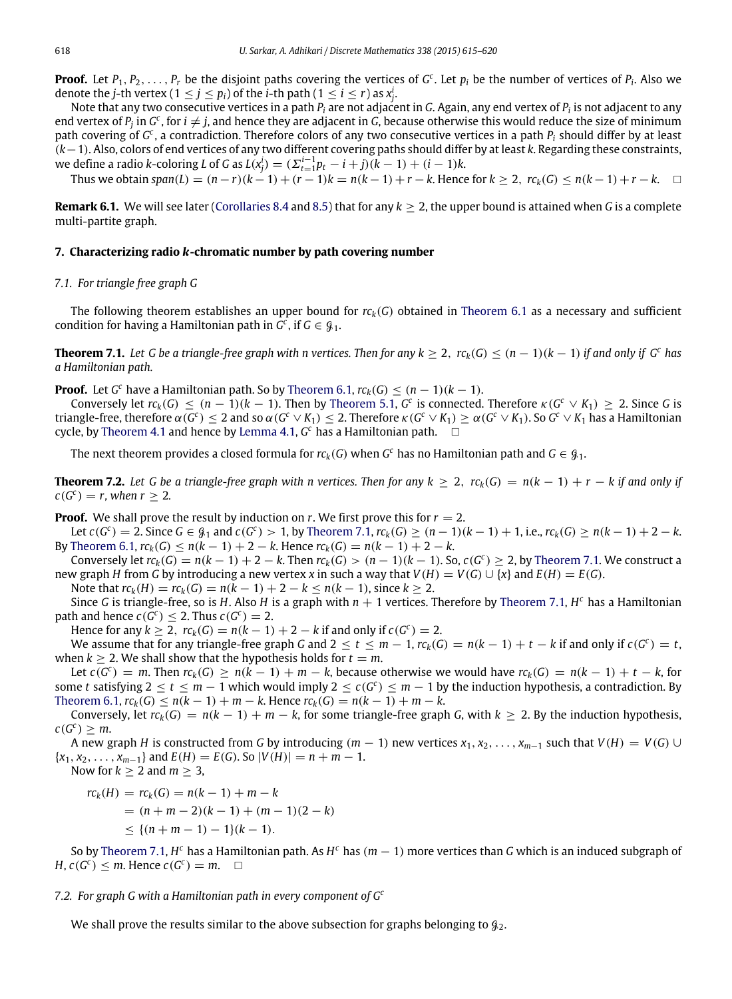**Proof.** Let  $P_1, P_2, \ldots, P_r$  be the disjoint paths covering the vertices of  $G^c$ . Let  $p_i$  be the number of vertices of  $P_i$ . Also we denote the *j*-th vertex (1  $\le$  *j*  $\le$  *p*<sub>*i*</sub>) of the *i*-th path (1  $\le$  *i*  $\le$  *r*) as  $x_j^i$ .

Note that any two consecutive vertices in a path *P<sup>i</sup>* are not adjacent in *G*. Again, any end vertex of *P<sup>i</sup>* is not adjacent to any end vertex of  $P_j$  in  $G^c$ , for  $i\neq j$ , and hence they are adjacent in  $G$ , because otherwise this would reduce the size of minimum path covering of *G c* , a contradiction. Therefore colors of any two consecutive vertices in a path *P<sup>i</sup>* should differ by at least (*k*−1). Also, colors of end vertices of any two different covering paths should differ by at least *k*. Regarding these constraints, we define a radio *k*-coloring *L* of *G* as  $L(x_j^i) = ( \sum_{t=1}^{i-1} p_t - i + j)(k - 1) + (i - 1)k$ .

Thus we obtain span(L) =  $(n-r)(k-1) + (r-1)k = n(k-1) + r - k$ . Hence for  $k \ge 2$ ,  $rc_k(G) \le n(k-1) + r - k$ .  $\Box$ 

**Remark 6.1.** We will see later [\(Corollaries 8.4](#page-4-0) and [8.5\)](#page-4-1) that for any *k* ≥ 2, the upper bound is attained when *G* is a complete multi-partite graph.

#### **7. Characterizing radio** *k***-chromatic number by path covering number**

### *7.1. For triangle free graph G*

The following theorem establishes an upper bound for *rck*(*G*) obtained in [Theorem 6.1](#page-2-1) as a necessary and sufficient condition for having a Hamiltonian path in  $G^c$ , if  $G \in \mathcal{G}_1$ .

<span id="page-3-0"></span>**Theorem 7.1.** Let G be a triangle-free graph with n vertices. Then for any  $k ≥ 2$ ,  $rc_k(G) ≤ (n − 1)(k − 1)$  if and only if  $G^c$  has *a Hamiltonian path.*

**Proof.** Let *G*<sup>c</sup> have a Hamiltonian path. So by [Theorem 6.1,](#page-2-1)  $rc_k(G) \leq (n-1)(k-1)$ .

Conversely let  $rc_k(G) \leq (n-1)(k-1)$ . Then by [Theorem 5.1,](#page-2-2)  $G^c$  is connected. Therefore  $\kappa(G^c \vee K_1) \geq 2$ . Since *G* is triangle-free, therefore  $\alpha(G^c)\leq 2$  and so  $\alpha(G^c\vee K_1)\leq 2.$  Therefore  $\kappa(G^c\vee K_1)\geq \alpha(G^c\vee K_1).$  So  $G^c\vee K_1$  has a Hamiltonian cycle, by [Theorem 4.1](#page-2-3) and hence by [Lemma 4.1,](#page-2-4) *G <sup>c</sup>* has a Hamiltonian path.

<span id="page-3-1"></span>The next theorem provides a closed formula for  $rc_k(G)$  when  $G^c$  has no Hamiltonian path and  $G \in \mathcal{G}_1$ .

**Theorem 7.2.** Let G be a triangle-free graph with n vertices. Then for any  $k > 2$ ,  $rc_k(G) = n(k-1) + r - k$  if and only if  $c(G^c) = r$ , when  $r \geq 2$ .

**Proof.** We shall prove the result by induction on *r*. We first prove this for  $r = 2$ .

Let  $c(G^c) = 2$ . Since  $G \in \mathcal{G}_1$  and  $c(G^c) > 1$ , by [Theorem 7.1,](#page-3-0)  $rc_k(G) \ge (n-1)(k-1) + 1$ , i.e.,  $rc_k(G) \ge n(k-1) + 2 - k$ . By [Theorem 6.1,](#page-2-1)  $rc_k(G)$  ≤  $n(k-1) + 2 - k$ . Hence  $rc_k(G) = n(k-1) + 2 - k$ .

Conversely let  $rc_k(G) = n(k-1) + 2 - k$ . Then  $rc_k(G) > (n-1)(k-1)$ . So,  $c(G^c) \ge 2$ , by [Theorem 7.1.](#page-3-0) We construct a new graph *H* from *G* by introducing a new vertex *x* in such a way that  $V(H) = V(G) \cup \{x\}$  and  $E(H) = E(G)$ .

Note that  $rc_k(H) = rc_k(G) = n(k-1) + 2 - k < n(k-1)$ , since  $k > 2$ .

Since *G* is triangle-free, so is *H*. Also *H* is a graph with *n* + 1 vertices. Therefore by [Theorem 7.1,](#page-3-0) *H <sup>c</sup>* has a Hamiltonian path and hence  $c(G^c) \leq 2$ . Thus  $c(G^c) = 2$ .

Hence for any  $k \ge 2$ ,  $rc_k(G) = n(k-1) + 2 - k$  if and only if  $c(G^c) = 2$ .

We assume that for any triangle-free graph *G* and  $2 \le t \le m-1$ ,  $rc_k(G) = n(k-1) + t - k$  if and only if  $c(G^c) = t$ , when  $k \geq 2$ . We shall show that the hypothesis holds for  $t = m$ .

Let  $c(G^c) = m$ . Then  $rc_k(G) \ge n(k-1) + m - k$ , because otherwise we would have  $rc_k(G) = n(k-1) + t - k$ , for some *t* satisfying  $2 \le t \le m - 1$  which would imply  $2 \le c(G^c) \le m - 1$  by the induction hypothesis, a contradiction. By  $Theorem 6.1,  $rc_k(G) \leq n(k-1) + m - k$ . Hence  $rc_k(G) = n(k-1) + m - k$ .$  $Theorem 6.1,  $rc_k(G) \leq n(k-1) + m - k$ . Hence  $rc_k(G) = n(k-1) + m - k$ .$ 

Conversely, let  $rc_k(G) = n(k-1) + m - k$ , for some triangle-free graph *G*, with  $k \ge 2$ . By the induction hypothesis,  $c(G^c) \geq m$ .

A new graph *H* is constructed from *G* by introducing  $(m - 1)$  new vertices  $x_1, x_2, \ldots, x_{m-1}$  such that  $V(H) = V(G) \cup$  ${x_1, x_2, \ldots, x_{m-1}}$  and  $E(H) = E(G)$ . So  $|V(H)| = n + m - 1$ .

Now for  $k \geq 2$  and  $m \geq 3$ ,

$$
rck(H) = rck(G) = n(k - 1) + m - k
$$
  
= (n + m - 2)(k - 1) + (m - 1)(2

$$
\leq \{(n+m-1)-1\}(k-1).
$$

So by [Theorem 7.1,](#page-3-0) *H <sup>c</sup>* has a Hamiltonian path. As *H <sup>c</sup>* has (*m* − 1) more vertices than *G* which is an induced subgraph of  $H, c(G^c) \leq m$ . Hence  $c(G^c) = m$ .  $\Box$ 

 $-k$ )

#### *7.2. For graph G with a Hamiltonian path in every component of G<sup>c</sup>*

We shall prove the results similar to the above subsection for graphs belonging to  $\mathcal{G}_2$ .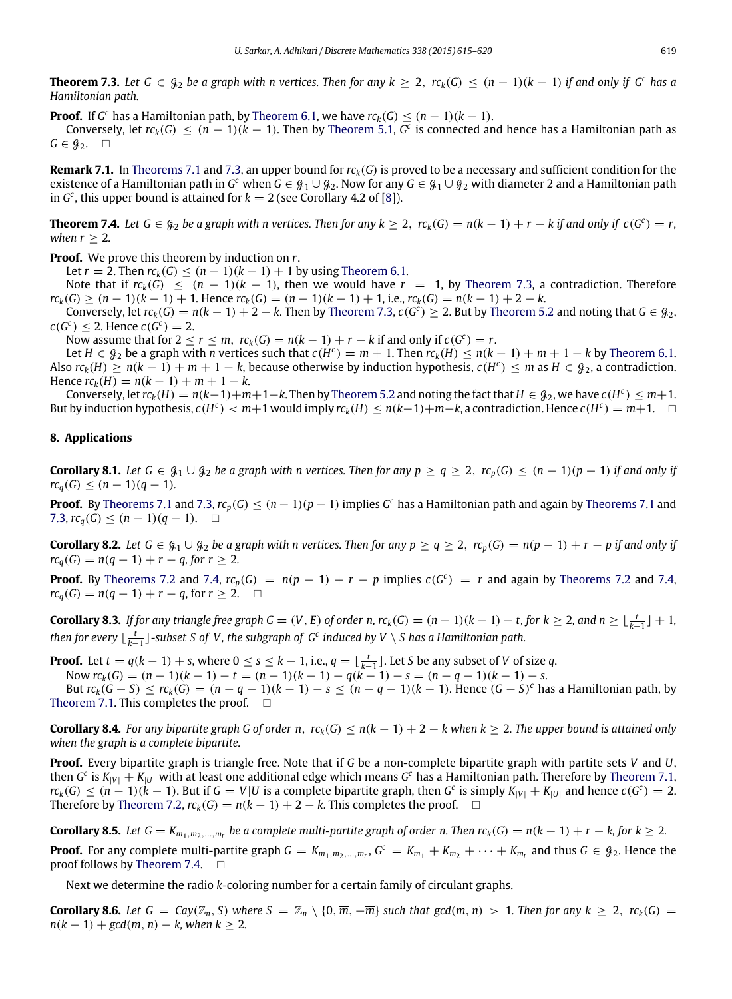<span id="page-4-2"></span>**Theorem 7.3.** Let  $G \in \mathcal{G}_2$  be a graph with n vertices. Then for any  $k > 2$ ,  $rc_k(G) < (n-1)(k-1)$  if and only if  $G^c$  has a *Hamiltonian path.*

**Proof.** If *G*<sup>c</sup> has a Hamiltonian path, by [Theorem 6.1,](#page-2-1) we have  $rc_k(G) \leq (n-1)(k-1)$ .

Conversely, let  $rc_k(G) \leq (n-1)(k-1)$ . Then by [Theorem 5.1,](#page-2-2)  $G^c$  is connected and hence has a Hamiltonian path as  $G \in \mathcal{G}_2$ .  $\square$ 

**Remark 7.1.** In [Theorems 7.1](#page-3-0) and [7.3,](#page-4-2) an upper bound for *rck*(*G*) is proved to be a necessary and sufficient condition for the existence of a Hamiltonian path in  $G^c$  when  $G \in G_1 \cup G_2$ . Now for any  $G \in G_1 \cup G_2$  with diameter 2 and a Hamiltonian path in  $G^c$ , this upper bound is attained for  $k = 2$  (see Corollary 4.2 of [\[8\]](#page-5-23)).

<span id="page-4-3"></span>**Theorem 7.4.** Let G ∈  $\mathcal{G}_2$  be a graph with n vertices. Then for any  $k ≥ 2$ ,  $rc_k(G) = n(k-1) + r - k$  if and only if  $c(G^c) = r$ , *when*  $r > 2$ *.* 

**Proof.** We prove this theorem by induction on *r*.

Let  $r = 2$ . Then  $rc_k(G) \le (n - 1)(k - 1) + 1$  by using [Theorem 6.1.](#page-2-1)

Note that if  $r c_k(G) \leq (n-1)(k-1)$ , then we would have  $r = 1$ , by [Theorem 7.3,](#page-4-2) a contradiction. Therefore  $rc_k(G) > (n-1)(k-1) + 1$ . Hence  $rc_k(G) = (n-1)(k-1) + 1$ , i.e.,  $rc_k(G) = n(k-1) + 2 - k$ .

Conversely, let  $rc_k(G) = n(k-1) + 2 - k$ . Then by [Theorem 7.3,](#page-4-2)  $c(G^c) \ge 2$ . But by [Theorem 5.2](#page-2-5) and noting that  $G \in \mathcal{G}_2$ ,  $c(G^c) \leq 2$ . Hence  $c(G^c) = 2$ .

Now assume that for  $2 \le r \le m$ ,  $rc_k(G) = n(k-1) + r - k$  if and only if  $c(G^c) = r$ .

Let  $H \in \mathcal{G}_2$  be a graph with *n* vertices such that  $c(H^c) = m + 1$ . Then  $rc_k(H) \le n(k - 1) + m + 1 - k$  by [Theorem 6.1.](#page-2-1) Also  $rc_k(H) \ge n(k-1) + m + 1 - k$ , because otherwise by induction hypothesis,  $c(H^c) \le m$  as  $H \in \mathcal{G}_2$ , a contradiction.  $Hence \, rc_k(H) = n(k-1) + m + 1 - k.$ 

Conversely, let  $rc_k(H) = n(k-1)+m+1-k$ . Then by [Theorem 5.2](#page-2-5) and noting the fact that  $H \in \mathcal{G}_2$ , we have  $c(H^c) \leq m+1$ . But by induction hypothesis,  $c(H^c) < m+1$  would imply  $rc_k(H) \le n(k-1)+m-k$ , a contradiction. Hence  $c(H^c) = m+1$ .  $\Box$ 

# **8. Applications**

**Corollary 8.1.** Let  $G \in \mathcal{G}_1 \cup \mathcal{G}_2$  be a graph with n vertices. Then for any  $p \ge q \ge 2$ ,  $rc_p(G) \le (n-1)(p-1)$  if and only if  $rc_q(G) \leq (n-1)(q-1)$ .

**Proof.** By [Theorems 7.1](#page-3-0) and [7.3,](#page-4-2)  $rc_p(G) \leq (n-1)(p-1)$  implies  $G^c$  has a Hamiltonian path and again by Theorems 7.1 and [7.3,](#page-4-2)  $rc_q(G)$  ≤  $(n-1)(q-1)$ . □

**Corollary 8.2.** Let  $G \in \mathcal{G}_1 \cup \mathcal{G}_2$  be a graph with n vertices. Then for any  $p \ge q \ge 2$ ,  $rc_p(G) = n(p-1) + r - p$  if and only if  $rc_q(G) = n(q-1) + r - q$ , for  $r \geq 2$ .

**Proof.** By [Theorems 7.2](#page-3-1) and [7.4,](#page-4-3)  $rc_p(G) = n(p-1) + r - p$  implies  $c(G^c) = r$  and again by Theorems 7.2 and 7.4, *rc*<sub>*q*</sub>(*G*) = *n*(*q* − 1) + *r* − *q*, for *r* ≥ 2. □

**Corollary 8.3.** If for any triangle free graph  $G = (V, E)$  of order n,  $rc_k(G) = (n-1)(k-1) - t$ , for  $k \ge 2$ , and  $n \ge \lfloor \frac{t}{k-1} \rfloor + 1$ , then for every  $\lfloor \frac{t}{k-1} \rfloor$ -subset S of V, the subgraph of G<sup>c</sup> induced by V  $\setminus$  S has a Hamiltonian path.

**Proof.** Let  $t = q(k - 1) + s$ , where  $0 \le s \le k - 1$ , i.e.,  $q = \lfloor \frac{t}{k-1} \rfloor$ . Let *S* be any subset of *V* of size *q*.

Now  $rc_k(G) = (n-1)(k-1) - t = (n-1)(k-1) - q(k-1) - s = (n - q - 1)(k - 1) - s$ .

But  $rc_k(G - S) \le rc_k(G) = (n - q - 1)(k - 1) - s \le (n - q - 1)(k - 1)$ . Hence  $(G - S)^c$  has a Hamiltonian path, by [Theorem 7.1.](#page-3-0) This completes the proof.  $\square$ 

<span id="page-4-0"></span>**Corollary 8.4.** For any bipartite graph G of order n,  $rc_k(G) \le n(k-1) + 2 - k$  when  $k \ge 2$ . The upper bound is attained only *when the graph is a complete bipartite.*

**Proof.** Every bipartite graph is triangle free. Note that if *G* be a non-complete bipartite graph with partite sets *V* and *U*, then *G c* is *K*|*V*<sup>|</sup> + *K*|*U*<sup>|</sup> with at least one additional edge which means *G <sup>c</sup>* has a Hamiltonian path. Therefore by [Theorem 7.1,](#page-3-0)  $rc_k(G) \le (n-1)(k-1)$ . But if  $G = V|U$  is a complete bipartite graph, then  $G^c$  is simply  $K_{|V|} + K_{|U|}$  and hence  $c(G^c) = 2$ . Therefore by [Theorem 7.2,](#page-3-1)  $rc_k(G) = n(k-1) + 2 - k$ . This completes the proof. □

<span id="page-4-1"></span>**Corollary 8.5.** Let  $G = K_{m_1,m_2,...,m_r}$  be a complete multi-partite graph of order n. Then  $rc_k(G) = n(k-1) + r - k$ , for  $k \ge 2$ .

**Proof.** For any complete multi-partite graph  $G = K_{m_1,m_2,...,m_r}$ ,  $G^c = K_{m_1} + K_{m_2} + \cdots + K_{m_r}$  and thus  $G \in \mathcal{G}_2$ . Hence the proof follows by [Theorem 7.4.](#page-4-3)  $\Box$ 

Next we determine the radio *k*-coloring number for a certain family of circulant graphs.

**Corollary 8.6.** Let  $G = Cay(\mathbb{Z}_n, S)$  where  $S = \mathbb{Z}_n \setminus \{0, \overline{m}, -\overline{m}\}\$  such that  $gcd(m, n) > 1$ . Then for any  $k \ge 2$ ,  $rc_k(G) =$  $n(k - 1) + \gcd(m, n) - k$ , when  $k \ge 2$ .